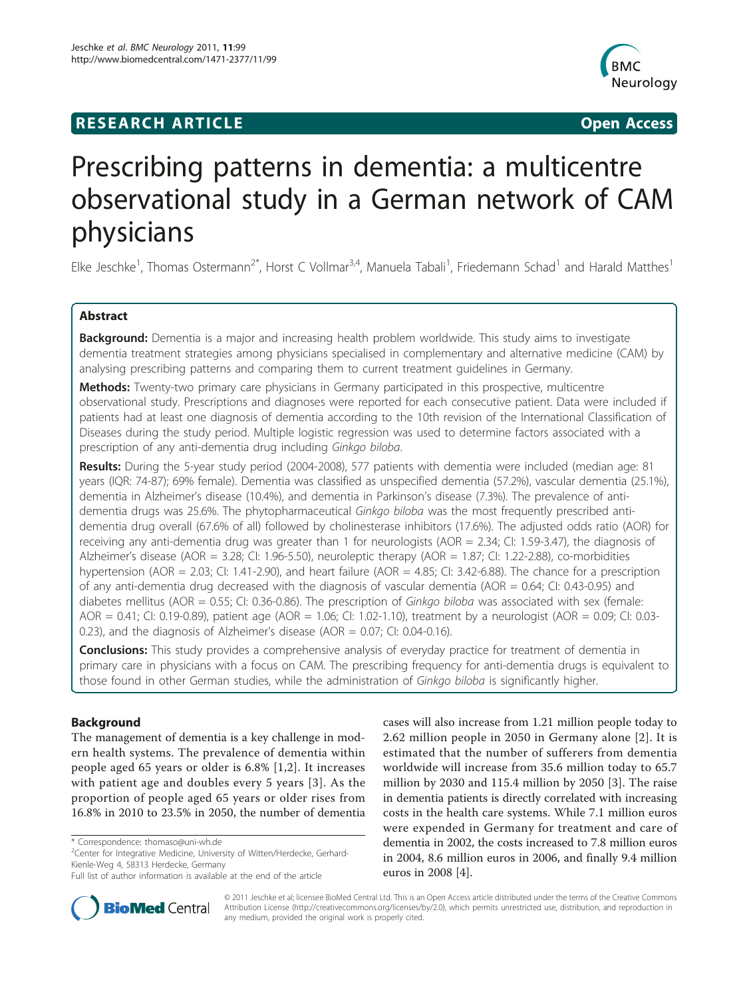# **RESEARCH ARTICLE Example 2018 12:00 Open Access**



# Prescribing patterns in dementia: a multicentre observational study in a German network of CAM physicians

Elke Jeschke<sup>1</sup>, Thomas Ostermann<sup>2\*</sup>, Horst C Vollmar<sup>3,4</sup>, Manuela Tabali<sup>1</sup>, Friedemann Schad<sup>1</sup> and Harald Matthes<sup>1</sup>

# Abstract

**Background:** Dementia is a major and increasing health problem worldwide. This study aims to investigate dementia treatment strategies among physicians specialised in complementary and alternative medicine (CAM) by analysing prescribing patterns and comparing them to current treatment guidelines in Germany.

Methods: Twenty-two primary care physicians in Germany participated in this prospective, multicentre observational study. Prescriptions and diagnoses were reported for each consecutive patient. Data were included if patients had at least one diagnosis of dementia according to the 10th revision of the International Classification of Diseases during the study period. Multiple logistic regression was used to determine factors associated with a prescription of any anti-dementia drug including Ginkgo biloba.

Results: During the 5-year study period (2004-2008), 577 patients with dementia were included (median age: 81 years (IQR: 74-87); 69% female). Dementia was classified as unspecified dementia (57.2%), vascular dementia (25.1%), dementia in Alzheimer's disease (10.4%), and dementia in Parkinson's disease (7.3%). The prevalence of antidementia drugs was 25.6%. The phytopharmaceutical Ginkgo biloba was the most frequently prescribed antidementia drug overall (67.6% of all) followed by cholinesterase inhibitors (17.6%). The adjusted odds ratio (AOR) for receiving any anti-dementia drug was greater than 1 for neurologists (AOR = 2.34; CI: 1.59-3.47), the diagnosis of Alzheimer's disease (AOR = 3.28; CI: 1.96-5.50), neuroleptic therapy (AOR = 1.87; CI: 1.22-2.88), co-morbidities hypertension (AOR = 2.03; CI: 1.41-2.90), and heart failure (AOR = 4.85; CI: 3.42-6.88). The chance for a prescription of any anti-dementia drug decreased with the diagnosis of vascular dementia (AOR = 0.64; CI: 0.43-0.95) and diabetes mellitus (AOR = 0.55; CI: 0.36-0.86). The prescription of Ginkgo biloba was associated with sex (female: AOR = 0.41; CI: 0.19-0.89), patient age (AOR = 1.06; CI: 1.02-1.10), treatment by a neurologist (AOR = 0.09; CI: 0.03-0.23), and the diagnosis of Alzheimer's disease (AOR =  $0.07$ ; CI: 0.04-0.16).

**Conclusions:** This study provides a comprehensive analysis of everyday practice for treatment of dementia in primary care in physicians with a focus on CAM. The prescribing frequency for anti-dementia drugs is equivalent to those found in other German studies, while the administration of Ginkgo biloba is significantly higher.

## Background

The management of dementia is a key challenge in modern health systems. The prevalence of dementia within people aged 65 years or older is 6.8% [[1,2\]](#page-9-0). It increases with patient age and doubles every 5 years [\[3\]](#page-9-0). As the proportion of people aged 65 years or older rises from 16.8% in 2010 to 23.5% in 2050, the number of dementia

cases will also increase from 1.21 million people today to 2.62 million people in 2050 in Germany alone [[2](#page-9-0)]. It is estimated that the number of sufferers from dementia worldwide will increase from 35.6 million today to 65.7 million by 2030 and 115.4 million by 2050 [[3\]](#page-9-0). The raise in dementia patients is directly correlated with increasing costs in the health care systems. While 7.1 million euros were expended in Germany for treatment and care of dementia in 2002, the costs increased to 7.8 million euros in 2004, 8.6 million euros in 2006, and finally 9.4 million euros in 2008 [[4\]](#page-9-0).



© 2011 Jeschke et al; licensee BioMed Central Ltd. This is an Open Access article distributed under the terms of the Creative Commons Attribution License [\(http://creativecommons.org/licenses/by/2.0](http://creativecommons.org/licenses/by/2.0)), which permits unrestricted use, distribution, and reproduction in any medium, provided the original work is properly cited.

<sup>\*</sup> Correspondence: [thomaso@uni-wh.de](mailto:thomaso@uni-wh.de)

<sup>&</sup>lt;sup>2</sup>Center for Integrative Medicine, University of Witten/Herdecke, Gerhard-Kienle-Weg 4, 58313 Herdecke, Germany

Full list of author information is available at the end of the article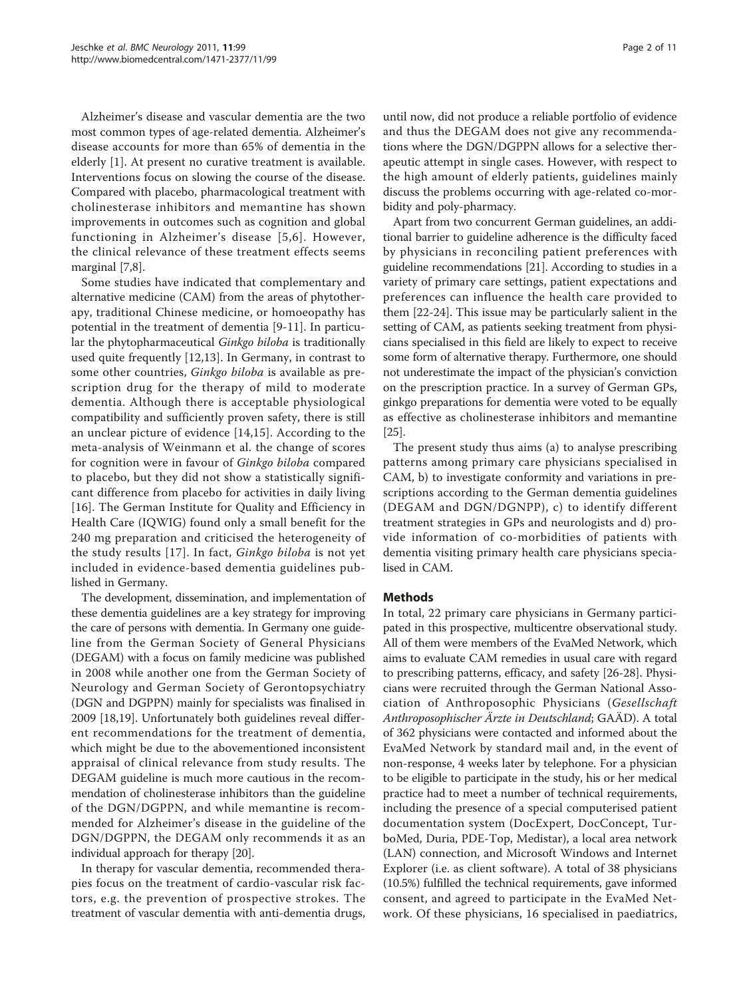Alzheimer's disease and vascular dementia are the two most common types of age-related dementia. Alzheimer's disease accounts for more than 65% of dementia in the elderly [[1\]](#page-9-0). At present no curative treatment is available. Interventions focus on slowing the course of the disease. Compared with placebo, pharmacological treatment with cholinesterase inhibitors and memantine has shown improvements in outcomes such as cognition and global functioning in Alzheimer's disease [[5,6\]](#page-9-0). However, the clinical relevance of these treatment effects seems marginal [\[7,8](#page-9-0)].

Some studies have indicated that complementary and alternative medicine (CAM) from the areas of phytotherapy, traditional Chinese medicine, or homoeopathy has potential in the treatment of dementia [[9-11](#page-9-0)]. In particular the phytopharmaceutical Ginkgo biloba is traditionally used quite frequently [[12,13](#page-9-0)]. In Germany, in contrast to some other countries, Ginkgo biloba is available as prescription drug for the therapy of mild to moderate dementia. Although there is acceptable physiological compatibility and sufficiently proven safety, there is still an unclear picture of evidence [\[14,15](#page-9-0)]. According to the meta-analysis of Weinmann et al. the change of scores for cognition were in favour of Ginkgo biloba compared to placebo, but they did not show a statistically significant difference from placebo for activities in daily living [[16\]](#page-9-0). The German Institute for Quality and Efficiency in Health Care (IQWIG) found only a small benefit for the 240 mg preparation and criticised the heterogeneity of the study results [[17](#page-9-0)]. In fact, Ginkgo biloba is not yet included in evidence-based dementia guidelines published in Germany.

The development, dissemination, and implementation of these dementia guidelines are a key strategy for improving the care of persons with dementia. In Germany one guideline from the German Society of General Physicians (DEGAM) with a focus on family medicine was published in 2008 while another one from the German Society of Neurology and German Society of Gerontopsychiatry (DGN and DGPPN) mainly for specialists was finalised in 2009 [\[18](#page-9-0),[19](#page-9-0)]. Unfortunately both guidelines reveal different recommendations for the treatment of dementia, which might be due to the abovementioned inconsistent appraisal of clinical relevance from study results. The DEGAM guideline is much more cautious in the recommendation of cholinesterase inhibitors than the guideline of the DGN/DGPPN, and while memantine is recommended for Alzheimer's disease in the guideline of the DGN/DGPPN, the DEGAM only recommends it as an individual approach for therapy [[20](#page-9-0)].

In therapy for vascular dementia, recommended therapies focus on the treatment of cardio-vascular risk factors, e.g. the prevention of prospective strokes. The treatment of vascular dementia with anti-dementia drugs, until now, did not produce a reliable portfolio of evidence and thus the DEGAM does not give any recommendations where the DGN/DGPPN allows for a selective therapeutic attempt in single cases. However, with respect to the high amount of elderly patients, guidelines mainly discuss the problems occurring with age-related co-morbidity and poly-pharmacy.

Apart from two concurrent German guidelines, an additional barrier to guideline adherence is the difficulty faced by physicians in reconciling patient preferences with guideline recommendations [\[21\]](#page-9-0). According to studies in a variety of primary care settings, patient expectations and preferences can influence the health care provided to them [[22](#page-9-0)-[24\]](#page-9-0). This issue may be particularly salient in the setting of CAM, as patients seeking treatment from physicians specialised in this field are likely to expect to receive some form of alternative therapy. Furthermore, one should not underestimate the impact of the physician's conviction on the prescription practice. In a survey of German GPs, ginkgo preparations for dementia were voted to be equally as effective as cholinesterase inhibitors and memantine [[25](#page-9-0)].

The present study thus aims (a) to analyse prescribing patterns among primary care physicians specialised in CAM, b) to investigate conformity and variations in prescriptions according to the German dementia guidelines (DEGAM and DGN/DGNPP), c) to identify different treatment strategies in GPs and neurologists and d) provide information of co-morbidities of patients with dementia visiting primary health care physicians specialised in CAM.

## Methods

In total, 22 primary care physicians in Germany participated in this prospective, multicentre observational study. All of them were members of the EvaMed Network, which aims to evaluate CAM remedies in usual care with regard to prescribing patterns, efficacy, and safety [[26](#page-9-0)-[28\]](#page-9-0). Physicians were recruited through the German National Association of Anthroposophic Physicians (Gesellschaft Anthroposophischer Ärzte in Deutschland; GAÄD). A total of 362 physicians were contacted and informed about the EvaMed Network by standard mail and, in the event of non-response, 4 weeks later by telephone. For a physician to be eligible to participate in the study, his or her medical practice had to meet a number of technical requirements, including the presence of a special computerised patient documentation system (DocExpert, DocConcept, TurboMed, Duria, PDE-Top, Medistar), a local area network (LAN) connection, and Microsoft Windows and Internet Explorer (i.e. as client software). A total of 38 physicians (10.5%) fulfilled the technical requirements, gave informed consent, and agreed to participate in the EvaMed Network. Of these physicians, 16 specialised in paediatrics,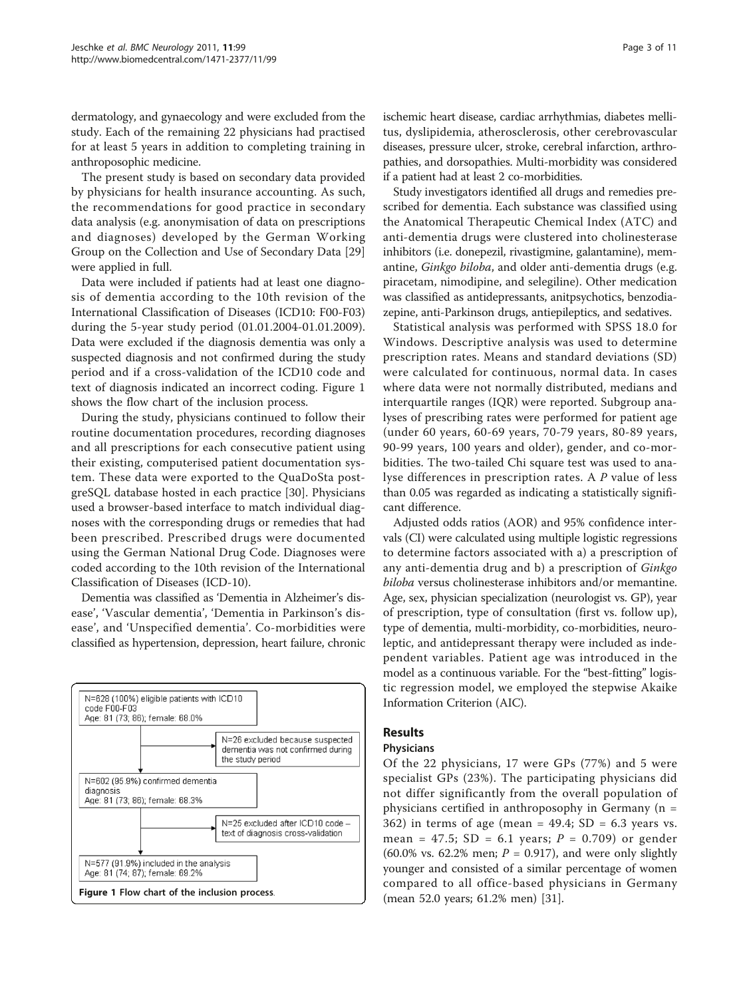<span id="page-2-0"></span>dermatology, and gynaecology and were excluded from the study. Each of the remaining 22 physicians had practised for at least 5 years in addition to completing training in anthroposophic medicine.

The present study is based on secondary data provided by physicians for health insurance accounting. As such, the recommendations for good practice in secondary data analysis (e.g. anonymisation of data on prescriptions and diagnoses) developed by the German Working Group on the Collection and Use of Secondary Data [[29](#page-9-0)] were applied in full.

Data were included if patients had at least one diagnosis of dementia according to the 10th revision of the International Classification of Diseases (ICD10: F00-F03) during the 5-year study period (01.01.2004-01.01.2009). Data were excluded if the diagnosis dementia was only a suspected diagnosis and not confirmed during the study period and if a cross-validation of the ICD10 code and text of diagnosis indicated an incorrect coding. Figure 1 shows the flow chart of the inclusion process.

During the study, physicians continued to follow their routine documentation procedures, recording diagnoses and all prescriptions for each consecutive patient using their existing, computerised patient documentation system. These data were exported to the QuaDoSta postgreSQL database hosted in each practice [[30\]](#page-9-0). Physicians used a browser-based interface to match individual diagnoses with the corresponding drugs or remedies that had been prescribed. Prescribed drugs were documented using the German National Drug Code. Diagnoses were coded according to the 10th revision of the International Classification of Diseases (ICD-10).

Dementia was classified as 'Dementia in Alzheimer's disease', 'Vascular dementia', 'Dementia in Parkinson's disease', and 'Unspecified dementia'. Co-morbidities were classified as hypertension, depression, heart failure, chronic



ischemic heart disease, cardiac arrhythmias, diabetes mellitus, dyslipidemia, atherosclerosis, other cerebrovascular diseases, pressure ulcer, stroke, cerebral infarction, arthropathies, and dorsopathies. Multi-morbidity was considered if a patient had at least 2 co-morbidities.

Study investigators identified all drugs and remedies prescribed for dementia. Each substance was classified using the Anatomical Therapeutic Chemical Index (ATC) and anti-dementia drugs were clustered into cholinesterase inhibitors (i.e. donepezil, rivastigmine, galantamine), memantine, Ginkgo biloba, and older anti-dementia drugs (e.g. piracetam, nimodipine, and selegiline). Other medication was classified as antidepressants, anitpsychotics, benzodiazepine, anti-Parkinson drugs, antiepileptics, and sedatives.

Statistical analysis was performed with SPSS 18.0 for Windows. Descriptive analysis was used to determine prescription rates. Means and standard deviations (SD) were calculated for continuous, normal data. In cases where data were not normally distributed, medians and interquartile ranges (IQR) were reported. Subgroup analyses of prescribing rates were performed for patient age (under 60 years, 60-69 years, 70-79 years, 80-89 years, 90-99 years, 100 years and older), gender, and co-morbidities. The two-tailed Chi square test was used to analyse differences in prescription rates. A P value of less than 0.05 was regarded as indicating a statistically significant difference.

Adjusted odds ratios (AOR) and 95% confidence intervals (CI) were calculated using multiple logistic regressions to determine factors associated with a) a prescription of any anti-dementia drug and b) a prescription of Ginkgo biloba versus cholinesterase inhibitors and/or memantine. Age, sex, physician specialization (neurologist vs. GP), year of prescription, type of consultation (first vs. follow up), type of dementia, multi-morbidity, co-morbidities, neuroleptic, and antidepressant therapy were included as independent variables. Patient age was introduced in the model as a continuous variable. For the "best-fitting" logistic regression model, we employed the stepwise Akaike Information Criterion (AIC).

# Results

## **Physicians**

Of the 22 physicians, 17 were GPs (77%) and 5 were specialist GPs (23%). The participating physicians did not differ significantly from the overall population of physicians certified in anthroposophy in Germany (n = 362) in terms of age (mean =  $49.4$ ; SD = 6.3 years vs. mean = 47.5; SD = 6.1 years;  $P = 0.709$ ) or gender  $(60.0\% \text{ vs. } 62.2\% \text{ men}; P = 0.917)$ , and were only slightly younger and consisted of a similar percentage of women compared to all office-based physicians in Germany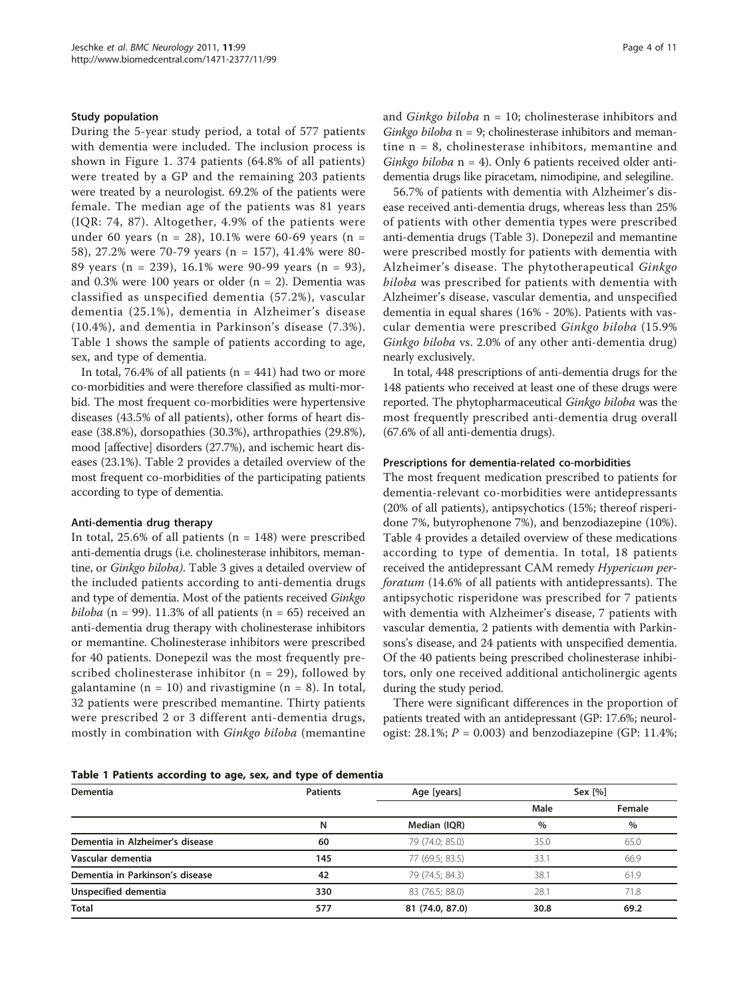#### Study population

During the 5-year study period, a total of 577 patients with dementia were included. The inclusion process is shown in Figure [1.](#page-2-0) 374 patients (64.8% of all patients) were treated by a GP and the remaining 203 patients were treated by a neurologist. 69.2% of the patients were female. The median age of the patients was 81 years (IQR: 74, 87). Altogether, 4.9% of the patients were under 60 years (n = 28), 10.1% were 60-69 years (n = 58), 27.2% were 70-79 years (n = 157), 41.4% were 80- 89 years (n = 239), 16.1% were 90-99 years (n = 93), and 0.3% were 100 years or older  $(n = 2)$ . Dementia was classified as unspecified dementia (57.2%), vascular dementia (25.1%), dementia in Alzheimer's disease (10.4%), and dementia in Parkinson's disease (7.3%). Table 1 shows the sample of patients according to age, sex, and type of dementia.

In total, 76.4% of all patients  $(n = 441)$  had two or more co-morbidities and were therefore classified as multi-morbid. The most frequent co-morbidities were hypertensive diseases (43.5% of all patients), other forms of heart disease (38.8%), dorsopathies (30.3%), arthropathies (29.8%), mood [affective] disorders (27.7%), and ischemic heart diseases (23.1%). Table [2](#page-4-0) provides a detailed overview of the most frequent co-morbidities of the participating patients according to type of dementia.

#### Anti-dementia drug therapy

In total,  $25.6\%$  of all patients ( $n = 148$ ) were prescribed anti-dementia drugs (i.e. cholinesterase inhibitors, memantine, or Ginkgo biloba). Table [3](#page-5-0) gives a detailed overview of the included patients according to anti-dementia drugs and type of dementia. Most of the patients received Ginkgo biloba (n = 99). 11.3% of all patients (n = 65) received an anti-dementia drug therapy with cholinesterase inhibitors or memantine. Cholinesterase inhibitors were prescribed for 40 patients. Donepezil was the most frequently prescribed cholinesterase inhibitor ( $n = 29$ ), followed by galantamine ( $n = 10$ ) and rivastigmine ( $n = 8$ ). In total, 32 patients were prescribed memantine. Thirty patients were prescribed 2 or 3 different anti-dementia drugs, mostly in combination with Ginkgo biloba (memantine

56.7% of patients with dementia with Alzheimer's disease received anti-dementia drugs, whereas less than 25% of patients with other dementia types were prescribed anti-dementia drugs (Table [3](#page-5-0)). Donepezil and memantine were prescribed mostly for patients with dementia with Alzheimer's disease. The phytotherapeutical Ginkgo biloba was prescribed for patients with dementia with Alzheimer's disease, vascular dementia, and unspecified dementia in equal shares (16% - 20%). Patients with vascular dementia were prescribed Ginkgo biloba (15.9% Ginkgo biloba vs. 2.0% of any other anti-dementia drug) nearly exclusively.

In total, 448 prescriptions of anti-dementia drugs for the 148 patients who received at least one of these drugs were reported. The phytopharmaceutical Ginkgo biloba was the most frequently prescribed anti-dementia drug overall (67.6% of all anti-dementia drugs).

#### Prescriptions for dementia-related co-morbidities

The most frequent medication prescribed to patients for dementia-relevant co-morbidities were antidepressants (20% of all patients), antipsychotics (15%; thereof risperidone 7%, butyrophenone 7%), and benzodiazepine (10%). Table [4](#page-5-0) provides a detailed overview of these medications according to type of dementia. In total, 18 patients received the antidepressant CAM remedy Hypericum perforatum (14.6% of all patients with antidepressants). The antipsychotic risperidone was prescribed for 7 patients with dementia with Alzheimer's disease, 7 patients with vascular dementia, 2 patients with dementia with Parkinsons's disease, and 24 patients with unspecified dementia. Of the 40 patients being prescribed cholinesterase inhibitors, only one received additional anticholinergic agents during the study period.

There were significant differences in the proportion of patients treated with an antidepressant (GP: 17.6%; neurologist: 28.1%;  $P = 0.003$ ) and benzodiazepine (GP: 11.4%;

Table 1 Patients according to age, sex, and type of dementia

| <b>Dementia</b>                 | <b>Patients</b> | Age [years]     |      | Sex $[%]$ |
|---------------------------------|-----------------|-----------------|------|-----------|
|                                 |                 |                 | Male | Female    |
|                                 | N               | Median (IQR)    | $\%$ | $\%$      |
| Dementia in Alzheimer's disease | 60              | 79 (74.0; 85.0) | 35.0 | 65.0      |
| Vascular dementia               | 145             | 77 (69.5; 83.5) | 33.1 | 66.9      |
| Dementia in Parkinson's disease | 42              | 79 (74.5; 84.3) | 38.1 | 61.9      |
| Unspecified dementia            | 330             | 83 (76.5; 88.0) | 28.1 | 71.8      |
| <b>Total</b>                    | 577             | 81 (74.0, 87.0) | 30.8 | 69.2      |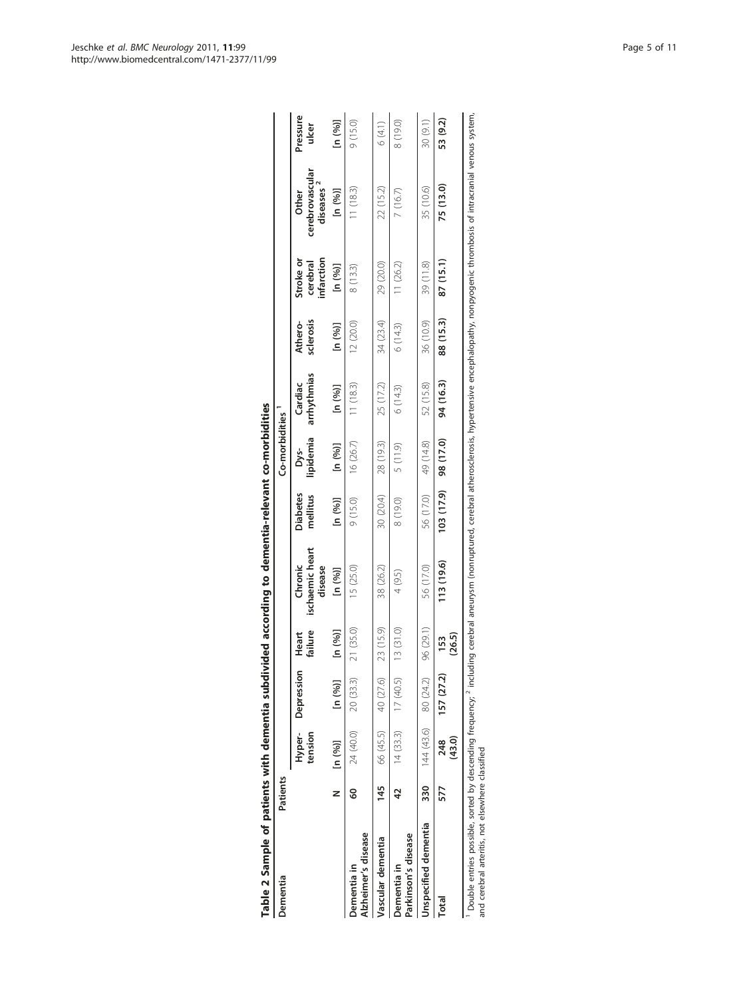<span id="page-4-0"></span>

| Dementia                                                                                                                                                                                                          | Patients       |                             |                       |                  |                                       |                         | Co-morbidities    |                        |                      |                                    |                                                          |                   |
|-------------------------------------------------------------------------------------------------------------------------------------------------------------------------------------------------------------------|----------------|-----------------------------|-----------------------|------------------|---------------------------------------|-------------------------|-------------------|------------------------|----------------------|------------------------------------|----------------------------------------------------------|-------------------|
|                                                                                                                                                                                                                   |                | Hyper-<br>tension           | Depression            | failure<br>Heart | ischaemic heart<br>Chronic<br>disease | Diabetes<br>mellitus    | lipidemia<br>Dys- | arrhythmias<br>Cardiac | sclerosis<br>Athero- | nfarction<br>Stroke or<br>cerebral | cerebrovascular<br>diseases <sup>2</sup><br><b>Other</b> | Pressure<br>ulcer |
|                                                                                                                                                                                                                   |                | [n(96)]                     | [n (%)]               | [n (%)]          | [n(96)]                               | [n(96)]                 | [n(96)]           | [n (96)]               | [n(96)]              | [n (%)]                            | [n (%)]                                                  | [n (%)]           |
| Alzheimer's disease<br>Dementia in                                                                                                                                                                                | g              | 24 (40.0)                   | 20 (33.3)             | 21 (35.0)        | 15 (25.0)                             | 9(15.0)                 | 16 (26.7)         | 1(183)                 | 12(20.0)             | 8(133)                             | (183)                                                    | (15.0)            |
| Vascular dementia                                                                                                                                                                                                 | 145            |                             | 66 (45.5) 40 (27.6)   | 23 (15.9)        | 38 (26.2)                             | 30 (20.4)               | 28 (19.3)         | 25 (17.2)              | 34 (23.4)            | 29 (20.0)                          | 22 (15.2)                                                | 6 (4.1)           |
| Parkinson's disease<br>Dementia in                                                                                                                                                                                | $\overline{4}$ |                             | $14(33.3)$ $17(40.5)$ | 13 (31.0)        | 4 (9.5)                               | 8 (19.0)                | 5(11.9)           | 6(143)                 | 6(14.3)              | 11(26.2)                           | 7(16.7)                                                  | (19.0)            |
| Unspecified dementia                                                                                                                                                                                              |                | 330 $144(43.6)$ 80 $(24.2)$ |                       | 96 (29.1)        | 56 (17.0)                             | 56 (17.0)               | 49 (14.8)         | 52 (15.8)              | 36 (10.9)            | 39 (11.8)                          | 35 (10.6)                                                | 30 (9.1)          |
| Total                                                                                                                                                                                                             | 577            | (43.0)<br>248               | 157(27.2)             | (26.5)<br>153    | 113 (19.6)                            | $103(17.9)$ 98 $(17.0)$ |                   | 94 (16.3)              | 88 (15.3)            | 87 (15.1)                          | 75 (13.0)                                                | 53 (9.2)          |
| Double entries possible, sorted by descending frequency; ' including cerebral aneurysm (nonruptured, cerebral atherosclerosis, hypertensive encephalopathy, nonpyogenic thrombosis of intracranial venous system, |                |                             |                       |                  |                                       |                         |                   |                        |                      |                                    |                                                          |                   |

| ֧֪֪֚֚֝֝֟֝֟֝֟֝֟֟֟֝֟֝֟֝֟֝֟֝֟֝֟֝֟֝֟֝֟֝֟֝֟֝<br>֧֖֖֧֧֧֧֪֪֖֧֪֪֪֪֪֪֪֪֪֪֪֪֪֪֪֪֪֪֪֪֪֪֪֪֪֪֪֪֪֪֪֚֚֚֚֚֚֚֚֚֚֚֚֚֚֚֚֚֚֝֝֓֝֟֓֝֬֝֟֝֟ |
|---------------------------------------------------------------------------------------------------------------------|
| ֖֖֖֖֖֖֚֚֚֚֚֚֚֚֚֚֚֚֚֚֡֬<br>֧֩֩֩֩                                                                                     |
|                                                                                                                     |
|                                                                                                                     |
|                                                                                                                     |
|                                                                                                                     |
|                                                                                                                     |
|                                                                                                                     |
|                                                                                                                     |
| $\vdots$                                                                                                            |
| ֠                                                                                                                   |
|                                                                                                                     |
|                                                                                                                     |
|                                                                                                                     |
|                                                                                                                     |
|                                                                                                                     |
|                                                                                                                     |
|                                                                                                                     |
|                                                                                                                     |
|                                                                                                                     |
|                                                                                                                     |
| ֖֖֖֖֖֖֖֖֖֧֖֧֧֧֖֧֚֚֚֚֚֚֚֚֚֚֚֚֚֚֚֚֚֚֚֚֚֚֚֚֚֚֚֚֚֚֬֝֓֞֝֓֞֝֬֝֬֝֬                                                         |
| ֧ׅׅ֧ׅ֧ׅ֧֧ׅ֧֧ׅ֧ׅ֧ׅ֧֧ׅ֧֪ׅ֧֪֪֧֪֪֪֪֪֪֪֪֪֪֪֪֪֪֪ׅ֚֚֚֚֚֚֚֚֚֚֚֚֚֚֚֚֚֚֚֚֚֚֚֚֚֚֚֚֚֚֚֬֡֓֡֓֝֜֓֝֬֜֓֝֬֜֜֝֬֜                       |
|                                                                                                                     |
|                                                                                                                     |
|                                                                                                                     |
|                                                                                                                     |
|                                                                                                                     |
|                                                                                                                     |
|                                                                                                                     |
|                                                                                                                     |
|                                                                                                                     |
|                                                                                                                     |
|                                                                                                                     |
| l                                                                                                                   |

투<br>무  $\tilde{\zeta}$  $\frac{1}{2}$ ś ម្ភ<br>ច្ច Double entries possible, sorted by descending in<br>and cerebral arteritis, not elsewhere classified and cerebral arteritis, not elsewhere classified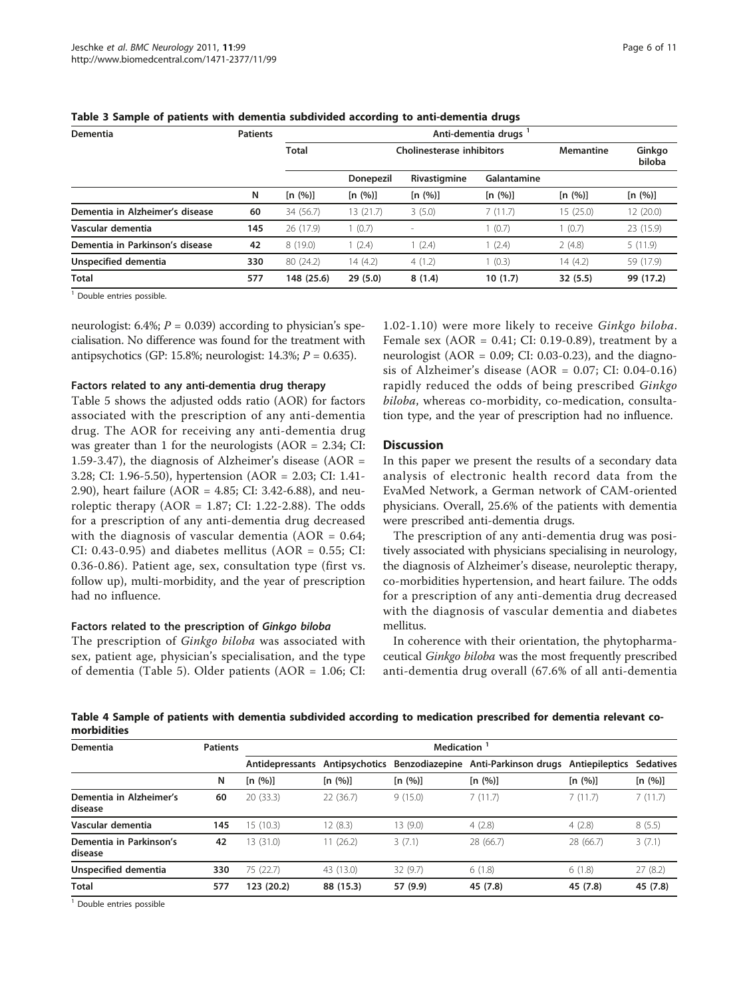| Dementia                        | <b>Patients</b> |            |           | Anti-dementia drugs       |             |                  |                  |
|---------------------------------|-----------------|------------|-----------|---------------------------|-------------|------------------|------------------|
|                                 |                 | Total      |           | Cholinesterase inhibitors |             | <b>Memantine</b> | Ginkgo<br>biloba |
|                                 |                 |            | Donepezil | Rivastigmine              | Galantamine |                  |                  |
|                                 | N               | [n (%)]    | [n (%)]   | [n (%)]                   | [n (%)]     | [n (%)]          | [n (%)]          |
| Dementia in Alzheimer's disease | 60              | 34 (56.7)  | 13 (21.7) | 3(5.0)                    | 7(11.7)     | 15(25.0)         | 12 (20.0)        |
| Vascular dementia               | 145             | 26 (17.9)  | (0.7)     |                           | 1(0.7)      | (0.7)            | 23 (15.9)        |
| Dementia in Parkinson's disease | 42              | 8 (19.0)   | (2.4)     | 1(2.4)                    | 1(2.4)      | 2(4.8)           | 5(11.9)          |
| Unspecified dementia            | 330             | 80 (24.2)  | 14 (4.2)  | 4(1.2)                    | 1(0.3)      | 14(4.2)          | 59 (17.9)        |
| <b>Total</b>                    | 577             | 148 (25.6) | 29(5.0)   | 8(1.4)                    | 10(1.7)     | 32(5.5)          | 99 (17.2)        |

<span id="page-5-0"></span>Table 3 Sample of patients with dementia subdivided according to anti-dementia drugs

<sup>1</sup> Double entries possible.

neurologist: 6.4%;  $P = 0.039$ ) according to physician's specialisation. No difference was found for the treatment with antipsychotics (GP: 15.8%; neurologist: 14.3%;  $P = 0.635$ ).

#### Factors related to any anti-dementia drug therapy

Table [5](#page-6-0) shows the adjusted odds ratio (AOR) for factors associated with the prescription of any anti-dementia drug. The AOR for receiving any anti-dementia drug was greater than 1 for the neurologists (AOR = 2.34; CI: 1.59-3.47), the diagnosis of Alzheimer's disease (AOR = 3.28; CI: 1.96-5.50), hypertension (AOR = 2.03; CI: 1.41- 2.90), heart failure (AOR = 4.85; CI: 3.42-6.88), and neuroleptic therapy ( $AOR = 1.87$ ; CI: 1.22-2.88). The odds for a prescription of any anti-dementia drug decreased with the diagnosis of vascular dementia ( $AOR = 0.64$ ; CI: 0.43-0.95) and diabetes mellitus ( $AOR = 0.55$ ; CI: 0.36-0.86). Patient age, sex, consultation type (first vs. follow up), multi-morbidity, and the year of prescription had no influence.

#### Factors related to the prescription of Ginkgo biloba

The prescription of Ginkgo biloba was associated with sex, patient age, physician's specialisation, and the type of dementia (Table [5\)](#page-6-0). Older patients (AOR = 1.06; CI:

1.02-1.10) were more likely to receive Ginkgo biloba. Female sex  $(AOR = 0.41; CI: 0.19-0.89)$ , treatment by a neurologist ( $AOR = 0.09$ ; CI: 0.03-0.23), and the diagnosis of Alzheimer's disease (AOR =  $0.07$ ; CI: 0.04-0.16) rapidly reduced the odds of being prescribed Ginkgo biloba, whereas co-morbidity, co-medication, consultation type, and the year of prescription had no influence.

#### **Discussion**

In this paper we present the results of a secondary data analysis of electronic health record data from the EvaMed Network, a German network of CAM-oriented physicians. Overall, 25.6% of the patients with dementia were prescribed anti-dementia drugs.

The prescription of any anti-dementia drug was positively associated with physicians specialising in neurology, the diagnosis of Alzheimer's disease, neuroleptic therapy, co-morbidities hypertension, and heart failure. The odds for a prescription of any anti-dementia drug decreased with the diagnosis of vascular dementia and diabetes mellitus.

In coherence with their orientation, the phytopharmaceutical Ginkgo biloba was the most frequently prescribed anti-dementia drug overall (67.6% of all anti-dementia

Table 4 Sample of patients with dementia subdivided according to medication prescribed for dementia relevant comorbidities

| Dementia                           | <b>Patients</b> | Medication <sup>1</sup> |           |          |                                                    |                |                  |
|------------------------------------|-----------------|-------------------------|-----------|----------|----------------------------------------------------|----------------|------------------|
|                                    |                 | Antidepressants         |           |          | Antipsychotics Benzodiazepine Anti-Parkinson drugs | Antiepileptics | <b>Sedatives</b> |
|                                    | N               | [n (%)]                 | [n (%)]   | [n (%)]  | [n (%)]                                            | [n (%)]        | [n (%)]          |
| Dementia in Alzheimer's<br>disease | 60              | 20(33.3)                | 22(36.7)  | 9(15.0)  | 7(11.7)                                            | 7(11.7)        | 7(11.7)          |
| Vascular dementia                  | 145             | 15(10.3)                | 12(8.3)   | 13(9.0)  | 4(2.8)                                             | 4(2.8)         | 8(5.5)           |
| Dementia in Parkinson's<br>disease | 42              | 13 (31.0)               | 1 (26.2)  | 3(7.1)   | 28 (66.7)                                          | 28 (66.7)      | 3(7.1)           |
| Unspecified dementia               | 330             | 75 (22.7)               | 43 (13.0) | 32(9.7)  | 6(1.8)                                             | 6(1.8)         | 27(8.2)          |
| <b>Total</b>                       | 577             | 123 (20.2)              | 88 (15.3) | 57 (9.9) | 45 (7.8)                                           | 45 (7.8)       | 45 (7.8)         |

<sup>1</sup> Double entries possible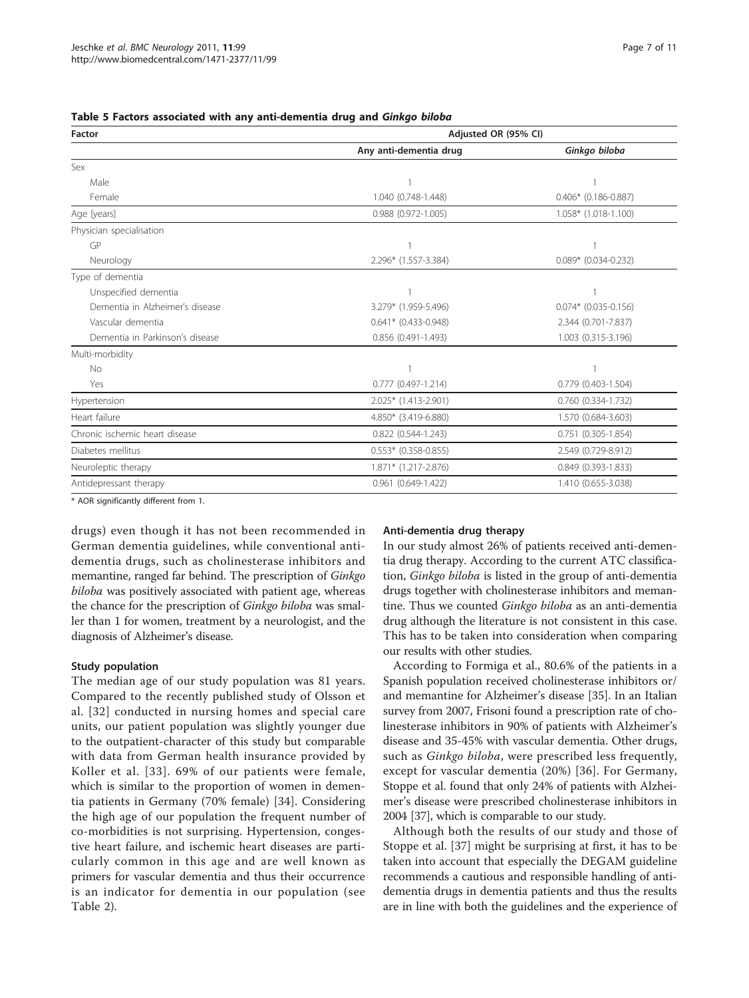<span id="page-6-0"></span>Table 5 Factors associated with any anti-dementia drug and Ginkgo biloba

| <b>Factor</b>                   | Adjusted OR (95% CI)      |                           |
|---------------------------------|---------------------------|---------------------------|
|                                 | Any anti-dementia drug    | Ginkgo biloba             |
| Sex                             |                           |                           |
| Male                            |                           |                           |
| Female                          | 1.040 (0.748-1.448)       | $0.406*$ (0.186-0.887)    |
| Age [years]                     | 0.988 (0.972-1.005)       | 1.058* (1.018-1.100)      |
| Physician specialisation        |                           |                           |
| GP                              |                           |                           |
| Neurology                       | 2.296* (1.557-3.384)      | $0.089*$ (0.034-0.232)    |
| Type of dementia                |                           |                           |
| Unspecified dementia            |                           |                           |
| Dementia in Alzheimer's disease | 3.279* (1.959-5.496)      | $0.074*$ (0.035-0.156)    |
| Vascular dementia               | $0.641*$ (0.433-0.948)    | 2.344 (0.701-7.837)       |
| Dementia in Parkinson's disease | 0.856 (0.491-1.493)       | 1.003 (0.315-3.196)       |
| Multi-morbidity                 |                           |                           |
| No                              |                           |                           |
| Yes                             | 0.777 (0.497-1.214)       | 0.779 (0.403-1.504)       |
| Hypertension                    | 2.025* (1.413-2.901)      | $0.760$ $(0.334 - 1.732)$ |
| Heart failure                   | 4.850* (3.419-6.880)      | 1.570 (0.684-3.603)       |
| Chronic ischemic heart disease  | $0.822$ $(0.544 - 1.243)$ | $0.751$ $(0.305 - 1.854)$ |
| Diabetes mellitus               | $0.553*$ (0.358-0.855)    | 2.549 (0.729-8.912)       |
| Neuroleptic therapy             | 1.871* (1.217-2.876)      | $0.849$ $(0.393 - 1.833)$ |
| Antidepressant therapy          | $0.961$ $(0.649 - 1.422)$ | 1.410 (0.655-3.038)       |

\* AOR significantly different from 1.

drugs) even though it has not been recommended in German dementia guidelines, while conventional antidementia drugs, such as cholinesterase inhibitors and memantine, ranged far behind. The prescription of Ginkgo biloba was positively associated with patient age, whereas the chance for the prescription of Ginkgo biloba was smaller than 1 for women, treatment by a neurologist, and the diagnosis of Alzheimer's disease.

#### Study population

The median age of our study population was 81 years. Compared to the recently published study of Olsson et al. [[32](#page-9-0)] conducted in nursing homes and special care units, our patient population was slightly younger due to the outpatient-character of this study but comparable with data from German health insurance provided by Koller et al. [[33\]](#page-9-0). 69% of our patients were female, which is similar to the proportion of women in dementia patients in Germany (70% female) [\[34](#page-9-0)]. Considering the high age of our population the frequent number of co-morbidities is not surprising. Hypertension, congestive heart failure, and ischemic heart diseases are particularly common in this age and are well known as primers for vascular dementia and thus their occurrence is an indicator for dementia in our population (see Table [2\)](#page-4-0).

#### Anti-dementia drug therapy

In our study almost 26% of patients received anti-dementia drug therapy. According to the current ATC classification, Ginkgo biloba is listed in the group of anti-dementia drugs together with cholinesterase inhibitors and memantine. Thus we counted Ginkgo biloba as an anti-dementia drug although the literature is not consistent in this case. This has to be taken into consideration when comparing our results with other studies.

According to Formiga et al., 80.6% of the patients in a Spanish population received cholinesterase inhibitors or/ and memantine for Alzheimer's disease [[35\]](#page-9-0). In an Italian survey from 2007, Frisoni found a prescription rate of cholinesterase inhibitors in 90% of patients with Alzheimer's disease and 35-45% with vascular dementia. Other drugs, such as Ginkgo biloba, were prescribed less frequently, except for vascular dementia (20%) [[36](#page-9-0)]. For Germany, Stoppe et al. found that only 24% of patients with Alzheimer's disease were prescribed cholinesterase inhibitors in 2004 [[37](#page-9-0)], which is comparable to our study.

Although both the results of our study and those of Stoppe et al. [[37\]](#page-9-0) might be surprising at first, it has to be taken into account that especially the DEGAM guideline recommends a cautious and responsible handling of antidementia drugs in dementia patients and thus the results are in line with both the guidelines and the experience of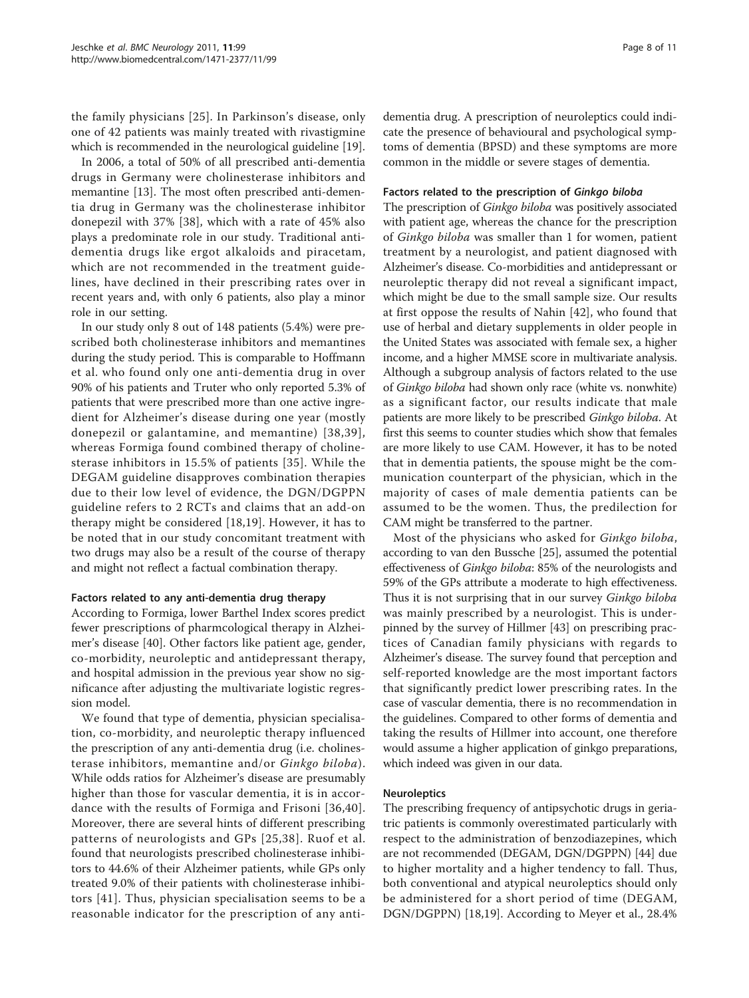the family physicians [\[25\]](#page-9-0). In Parkinson's disease, only one of 42 patients was mainly treated with rivastigmine which is recommended in the neurological guideline [\[19](#page-9-0)].

In 2006, a total of 50% of all prescribed anti-dementia drugs in Germany were cholinesterase inhibitors and memantine [\[13\]](#page-9-0). The most often prescribed anti-dementia drug in Germany was the cholinesterase inhibitor donepezil with 37% [[38\]](#page-9-0), which with a rate of 45% also plays a predominate role in our study. Traditional antidementia drugs like ergot alkaloids and piracetam, which are not recommended in the treatment guidelines, have declined in their prescribing rates over in recent years and, with only 6 patients, also play a minor role in our setting.

In our study only 8 out of 148 patients (5.4%) were prescribed both cholinesterase inhibitors and memantines during the study period. This is comparable to Hoffmann et al. who found only one anti-dementia drug in over 90% of his patients and Truter who only reported 5.3% of patients that were prescribed more than one active ingredient for Alzheimer's disease during one year (mostly donepezil or galantamine, and memantine) [[38](#page-9-0),[39\]](#page-9-0), whereas Formiga found combined therapy of cholinesterase inhibitors in 15.5% of patients [[35\]](#page-9-0). While the DEGAM guideline disapproves combination therapies due to their low level of evidence, the DGN/DGPPN guideline refers to 2 RCTs and claims that an add-on therapy might be considered [[18,19](#page-9-0)]. However, it has to be noted that in our study concomitant treatment with two drugs may also be a result of the course of therapy and might not reflect a factual combination therapy.

#### Factors related to any anti-dementia drug therapy

According to Formiga, lower Barthel Index scores predict fewer prescriptions of pharmcological therapy in Alzheimer's disease [[40\]](#page-9-0). Other factors like patient age, gender, co-morbidity, neuroleptic and antidepressant therapy, and hospital admission in the previous year show no significance after adjusting the multivariate logistic regression model.

We found that type of dementia, physician specialisation, co-morbidity, and neuroleptic therapy influenced the prescription of any anti-dementia drug (i.e. cholinesterase inhibitors, memantine and/or Ginkgo biloba). While odds ratios for Alzheimer's disease are presumably higher than those for vascular dementia, it is in accordance with the results of Formiga and Frisoni [[36](#page-9-0),[40\]](#page-9-0). Moreover, there are several hints of different prescribing patterns of neurologists and GPs [[25,38](#page-9-0)]. Ruof et al. found that neurologists prescribed cholinesterase inhibitors to 44.6% of their Alzheimer patients, while GPs only treated 9.0% of their patients with cholinesterase inhibitors [[41](#page-9-0)]. Thus, physician specialisation seems to be a reasonable indicator for the prescription of any antidementia drug. A prescription of neuroleptics could indicate the presence of behavioural and psychological symptoms of dementia (BPSD) and these symptoms are more common in the middle or severe stages of dementia.

#### Factors related to the prescription of Ginkgo biloba

The prescription of Ginkgo biloba was positively associated with patient age, whereas the chance for the prescription of Ginkgo biloba was smaller than 1 for women, patient treatment by a neurologist, and patient diagnosed with Alzheimer's disease. Co-morbidities and antidepressant or neuroleptic therapy did not reveal a significant impact, which might be due to the small sample size. Our results at first oppose the results of Nahin [\[42](#page-9-0)], who found that use of herbal and dietary supplements in older people in the United States was associated with female sex, a higher income, and a higher MMSE score in multivariate analysis. Although a subgroup analysis of factors related to the use of Ginkgo biloba had shown only race (white vs. nonwhite) as a significant factor, our results indicate that male patients are more likely to be prescribed Ginkgo biloba. At first this seems to counter studies which show that females are more likely to use CAM. However, it has to be noted that in dementia patients, the spouse might be the communication counterpart of the physician, which in the majority of cases of male dementia patients can be assumed to be the women. Thus, the predilection for CAM might be transferred to the partner.

Most of the physicians who asked for Ginkgo biloba, according to van den Bussche [[25](#page-9-0)], assumed the potential effectiveness of Ginkgo biloba: 85% of the neurologists and 59% of the GPs attribute a moderate to high effectiveness. Thus it is not surprising that in our survey Ginkgo biloba was mainly prescribed by a neurologist. This is underpinned by the survey of Hillmer [\[43](#page-9-0)] on prescribing practices of Canadian family physicians with regards to Alzheimer's disease. The survey found that perception and self-reported knowledge are the most important factors that significantly predict lower prescribing rates. In the case of vascular dementia, there is no recommendation in the guidelines. Compared to other forms of dementia and taking the results of Hillmer into account, one therefore would assume a higher application of ginkgo preparations, which indeed was given in our data.

#### Neuroleptics

The prescribing frequency of antipsychotic drugs in geriatric patients is commonly overestimated particularly with respect to the administration of benzodiazepines, which are not recommended (DEGAM, DGN/DGPPN) [\[44\]](#page-9-0) due to higher mortality and a higher tendency to fall. Thus, both conventional and atypical neuroleptics should only be administered for a short period of time (DEGAM, DGN/DGPPN) [[18,19\]](#page-9-0). According to Meyer et al., 28.4%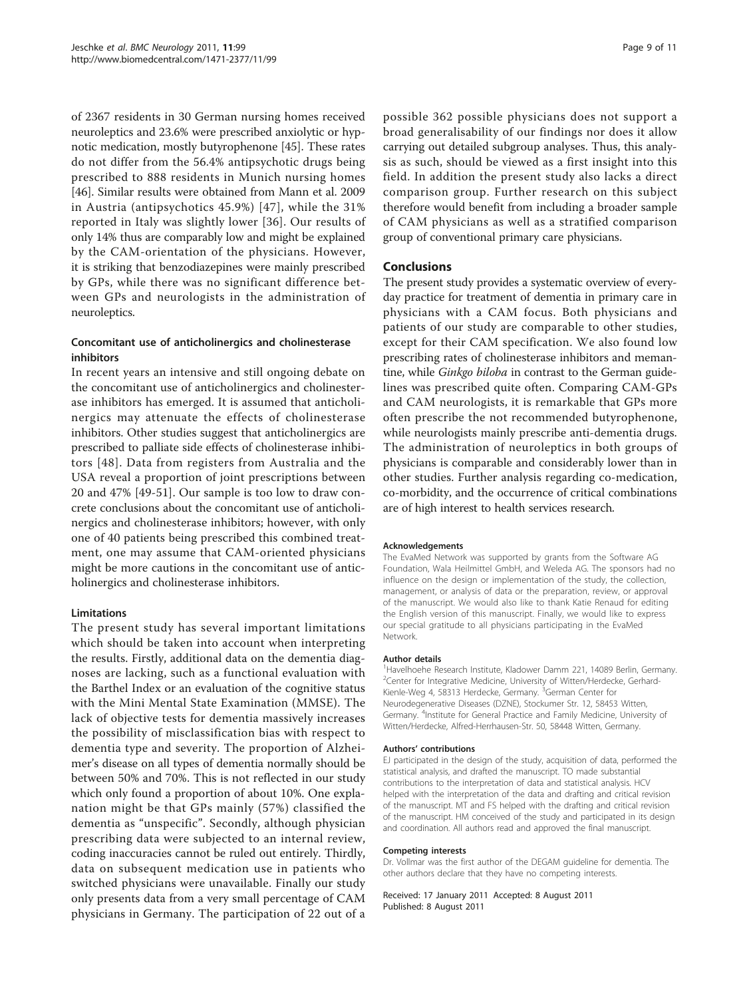of 2367 residents in 30 German nursing homes received neuroleptics and 23.6% were prescribed anxiolytic or hypnotic medication, mostly butyrophenone [[45](#page-10-0)]. These rates do not differ from the 56.4% antipsychotic drugs being prescribed to 888 residents in Munich nursing homes [[46\]](#page-10-0). Similar results were obtained from Mann et al. 2009 in Austria (antipsychotics 45.9%) [\[47](#page-10-0)], while the 31% reported in Italy was slightly lower [[36](#page-9-0)]. Our results of only 14% thus are comparably low and might be explained by the CAM-orientation of the physicians. However, it is striking that benzodiazepines were mainly prescribed by GPs, while there was no significant difference between GPs and neurologists in the administration of neuroleptics.

#### Concomitant use of anticholinergics and cholinesterase inhibitors

In recent years an intensive and still ongoing debate on the concomitant use of anticholinergics and cholinesterase inhibitors has emerged. It is assumed that anticholinergics may attenuate the effects of cholinesterase inhibitors. Other studies suggest that anticholinergics are prescribed to palliate side effects of cholinesterase inhibitors [[48](#page-10-0)]. Data from registers from Australia and the USA reveal a proportion of joint prescriptions between 20 and 47% [[49](#page-10-0)-[51\]](#page-10-0). Our sample is too low to draw concrete conclusions about the concomitant use of anticholinergics and cholinesterase inhibitors; however, with only one of 40 patients being prescribed this combined treatment, one may assume that CAM-oriented physicians might be more cautions in the concomitant use of anticholinergics and cholinesterase inhibitors.

## Limitations

The present study has several important limitations which should be taken into account when interpreting the results. Firstly, additional data on the dementia diagnoses are lacking, such as a functional evaluation with the Barthel Index or an evaluation of the cognitive status with the Mini Mental State Examination (MMSE). The lack of objective tests for dementia massively increases the possibility of misclassification bias with respect to dementia type and severity. The proportion of Alzheimer's disease on all types of dementia normally should be between 50% and 70%. This is not reflected in our study which only found a proportion of about 10%. One explanation might be that GPs mainly (57%) classified the dementia as "unspecific". Secondly, although physician prescribing data were subjected to an internal review, coding inaccuracies cannot be ruled out entirely. Thirdly, data on subsequent medication use in patients who switched physicians were unavailable. Finally our study only presents data from a very small percentage of CAM physicians in Germany. The participation of 22 out of a

possible 362 possible physicians does not support a broad generalisability of our findings nor does it allow carrying out detailed subgroup analyses. Thus, this analysis as such, should be viewed as a first insight into this field. In addition the present study also lacks a direct comparison group. Further research on this subject therefore would benefit from including a broader sample of CAM physicians as well as a stratified comparison group of conventional primary care physicians.

## Conclusions

The present study provides a systematic overview of everyday practice for treatment of dementia in primary care in physicians with a CAM focus. Both physicians and patients of our study are comparable to other studies, except for their CAM specification. We also found low prescribing rates of cholinesterase inhibitors and memantine, while Ginkgo biloba in contrast to the German guidelines was prescribed quite often. Comparing CAM-GPs and CAM neurologists, it is remarkable that GPs more often prescribe the not recommended butyrophenone, while neurologists mainly prescribe anti-dementia drugs. The administration of neuroleptics in both groups of physicians is comparable and considerably lower than in other studies. Further analysis regarding co-medication, co-morbidity, and the occurrence of critical combinations are of high interest to health services research.

#### Acknowledgements

The EvaMed Network was supported by grants from the Software AG Foundation, Wala Heilmittel GmbH, and Weleda AG. The sponsors had no influence on the design or implementation of the study, the collection, management, or analysis of data or the preparation, review, or approval of the manuscript. We would also like to thank Katie Renaud for editing the English version of this manuscript. Finally, we would like to express our special gratitude to all physicians participating in the EvaMed Network.

#### Author details

<sup>1</sup> Havelhoehe Research Institute, Kladower Damm 221, 14089 Berlin, Germany <sup>2</sup>Center for Integrative Medicine, University of Witten/Herdecke, Gerhard-Kienle-Weg 4, 58313 Herdecke, Germany. <sup>3</sup>German Center for Neurodegenerative Diseases (DZNE), Stockumer Str. 12, 58453 Witten, Germany. <sup>4</sup>Institute for General Practice and Family Medicine, University of Witten/Herdecke, Alfred-Herrhausen-Str. 50, 58448 Witten, Germany.

#### Authors' contributions

EJ participated in the design of the study, acquisition of data, performed the statistical analysis, and drafted the manuscript. TO made substantial contributions to the interpretation of data and statistical analysis. HCV helped with the interpretation of the data and drafting and critical revision of the manuscript. MT and FS helped with the drafting and critical revision of the manuscript. HM conceived of the study and participated in its design and coordination. All authors read and approved the final manuscript.

#### Competing interests

Dr. Vollmar was the first author of the DEGAM guideline for dementia. The other authors declare that they have no competing interests.

Received: 17 January 2011 Accepted: 8 August 2011 Published: 8 August 2011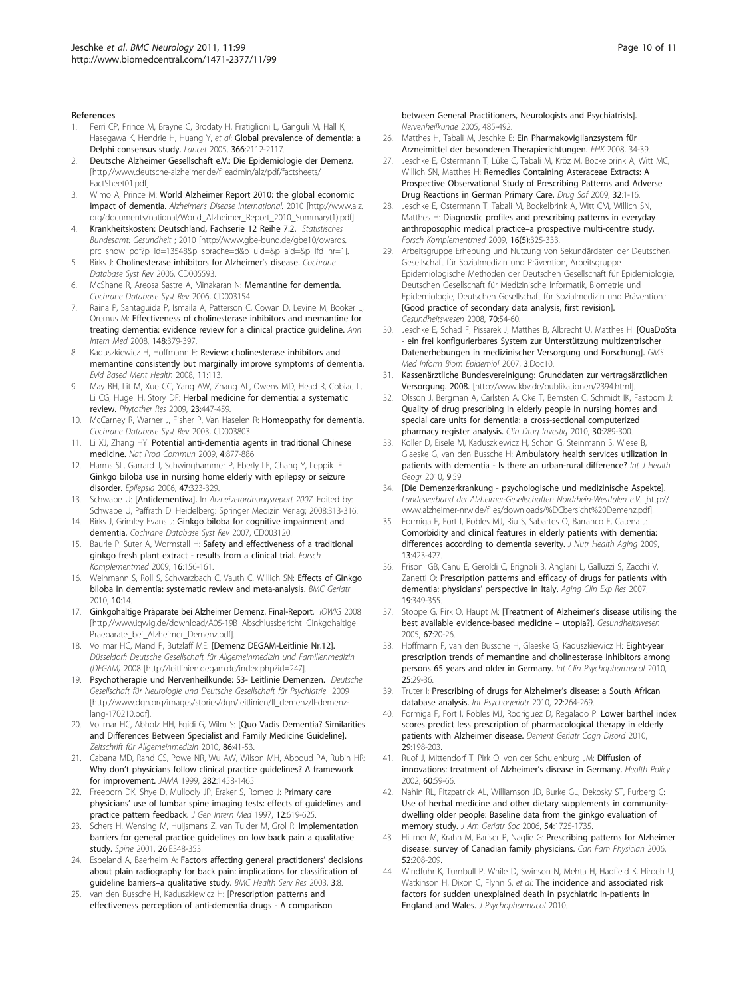#### <span id="page-9-0"></span>References

- 1. Ferri CP, Prince M, Brayne C, Brodaty H, Fratiglioni L, Ganguli M, Hall K, Hasegawa K, Hendrie H, Huang Y, et al: [Global prevalence of dementia: a](http://www.ncbi.nlm.nih.gov/pubmed/16360788?dopt=Abstract) [Delphi consensus study.](http://www.ncbi.nlm.nih.gov/pubmed/16360788?dopt=Abstract) Lancet 2005, 366:2112-2117.
- 2. Deutsche Alzheimer Gesellschaft e.V.: Die Epidemiologie der Demenz. [\[http://www.deutsche-alzheimer.de/fileadmin/alz/pdf/factsheets/](http://www.deutsche-alzheimer.de/fileadmin/alz/pdf/factsheets/FactSheet01.pdf) [FactSheet01.pdf\]](http://www.deutsche-alzheimer.de/fileadmin/alz/pdf/factsheets/FactSheet01.pdf).
- 3. Wimo A, Prince M: [World Alzheimer Report 2010: the global economic](http://www.ncbi.nlm.nih.gov/pubmed/21894330?dopt=Abstract) [impact of dementia.](http://www.ncbi.nlm.nih.gov/pubmed/21894330?dopt=Abstract) Alzheimer's Disease International. 2010 [[http://www.alz.](http://www.alz.org/documents/national/World_Alzheimer_Report_2010_Summary(1).pdf) [org/documents/national/World\\_Alzheimer\\_Report\\_2010\\_Summary\(1\).pdf\]](http://www.alz.org/documents/national/World_Alzheimer_Report_2010_Summary(1).pdf).
- 4. Krankheitskosten: Deutschland, Fachserie 12 Reihe 7.2. Statistisches Bundesamt: Gesundheit ; 2010 [\[http://www.gbe-bund.de/gbe10/owards.](http://www.gbe-bund.de/gbe10/owards.prc_show_pdf?p_id=13548&p_sprache=d&p_uid=&p_aid=&p_lfd_nr=1) [prc\\_show\\_pdf?p\\_id=13548&p\\_sprache=d&p\\_uid=&p\\_aid=&p\\_lfd\\_nr=1](http://www.gbe-bund.de/gbe10/owards.prc_show_pdf?p_id=13548&p_sprache=d&p_uid=&p_aid=&p_lfd_nr=1)].
- Birks J: Cholinesterase inhibitors for Alzheimer's disease. Cochrane Database Syst Rev 2006, CD005593.
- 6. McShane R, Areosa Sastre A, Minakaran N: Memantine for dementia. Cochrane Database Syst Rev 2006, CD003154.
- 7. Raina P, Santaguida P, Ismaila A, Patterson C, Cowan D, Levine M, Booker L, Oremus M: [Effectiveness of cholinesterase inhibitors and memantine for](http://www.ncbi.nlm.nih.gov/pubmed/18316756?dopt=Abstract) [treating dementia: evidence review for a clinical practice guideline.](http://www.ncbi.nlm.nih.gov/pubmed/18316756?dopt=Abstract) Ann Intern Med 2008, 148:379-397.
- 8. Kaduszkiewicz H, Hoffmann F: [Review: cholinesterase inhibitors and](http://www.ncbi.nlm.nih.gov/pubmed/18952962?dopt=Abstract) [memantine consistently but marginally improve symptoms of dementia.](http://www.ncbi.nlm.nih.gov/pubmed/18952962?dopt=Abstract) Evid Based Ment Health 2008, 11:113.
- 9. May BH, Lit M, Xue CC, Yang AW, Zhang AL, Owens MD, Head R, Cobiac L, Li CG, Hugel H, Story DF: [Herbal medicine for dementia: a systematic](http://www.ncbi.nlm.nih.gov/pubmed/19086008?dopt=Abstract) [review.](http://www.ncbi.nlm.nih.gov/pubmed/19086008?dopt=Abstract) Phytother Res 2009, 23:447-459.
- 10. McCarney R, Warner J, Fisher P, Van Haselen R: Homeopathy for dementia. Cochrane Database Syst Rev 2003, CD003803.
- 11. Li XJ, Zhang HY: [Potential anti-dementia agents in traditional Chinese](http://www.ncbi.nlm.nih.gov/pubmed/19634342?dopt=Abstract) [medicine.](http://www.ncbi.nlm.nih.gov/pubmed/19634342?dopt=Abstract) Nat Prod Commun 2009, 4:877-886.
- 12. Harms SL, Garrard J, Schwinghammer P, Eberly LE, Chang Y, Leppik IE: [Ginkgo biloba use in nursing home elderly with epilepsy or seizure](http://www.ncbi.nlm.nih.gov/pubmed/16499756?dopt=Abstract) [disorder.](http://www.ncbi.nlm.nih.gov/pubmed/16499756?dopt=Abstract) Epilepsia 2006, 47:323-329.
- 13. Schwabe U: [Antidementiva]. In Arzneiverordnungsreport 2007. Edited by: Schwabe U, Paffrath D. Heidelberg: Springer Medizin Verlag; 2008:313-316.
- 14. Birks J, Grimley Evans J: Ginkgo biloba for cognitive impairment and dementia. Cochrane Database Syst Rev 2007, CD003120.
- 15. Baurle P, Suter A, Wormstall H: [Safety and effectiveness of a traditional](http://www.ncbi.nlm.nih.gov/pubmed/19657199?dopt=Abstract) [ginkgo fresh plant extract - results from a clinical trial.](http://www.ncbi.nlm.nih.gov/pubmed/19657199?dopt=Abstract) Forsch Komplementmed 2009, 16:156-161.
- 16. Weinmann S, Roll S, Schwarzbach C, Vauth C, Willich SN: [Effects of Ginkgo](http://www.ncbi.nlm.nih.gov/pubmed/20236541?dopt=Abstract) [biloba in dementia: systematic review and meta-analysis.](http://www.ncbi.nlm.nih.gov/pubmed/20236541?dopt=Abstract) BMC Geriatr 2010, 10:14.
- 17. Ginkgohaltige Präparate bei Alzheimer Demenz. Final-Report. IQWIG 2008 [\[http://www.iqwig.de/download/A05-19B\\_Abschlussbericht\\_Ginkgohaltige\\_](http://www.iqwig.de/download/A05-19B_Abschlussbericht_Ginkgohaltige_Praeparate_bei_Alzheimer_Demenz.pdf) [Praeparate\\_bei\\_Alzheimer\\_Demenz.pdf\]](http://www.iqwig.de/download/A05-19B_Abschlussbericht_Ginkgohaltige_Praeparate_bei_Alzheimer_Demenz.pdf).
- 18. Vollmar HC, Mand P, Butzlaff ME: [\[Demenz DEGAM-Leitlinie Nr.12\].](http://www.ncbi.nlm.nih.gov/pubmed/21898910?dopt=Abstract) Düsseldorf: Deutsche Gesellschaft für Allgemeinmedizin und Familienmedizin (DEGAM) 2008 [\[http://leitlinien.degam.de/index.php?id=247\]](http://leitlinien.degam.de/index.php?id=247).
- 19. Psychotherapie und Nervenheilkunde: S3- Leitlinie Demenzen. Deutsche Gesellschaft für Neurologie und Deutsche Gesellschaft für Psychiatrie 2009 [\[http://www.dgn.org/images/stories/dgn/leitlinien/ll\\_demenz/ll-demenz](http://www.dgn.org/images/stories/dgn/leitlinien/ll_demenz/ll-demenz-lang-170210.pdf)[lang-170210.pdf](http://www.dgn.org/images/stories/dgn/leitlinien/ll_demenz/ll-demenz-lang-170210.pdf)].
- 20. Vollmar HC, Abholz HH, Egidi G, Wilm S: [\[Quo Vadis Dementia? Similarities](http://www.ncbi.nlm.nih.gov/pubmed/19349661?dopt=Abstract) [and Differences Between Specialist and Family Medicine Guideline\].](http://www.ncbi.nlm.nih.gov/pubmed/19349661?dopt=Abstract) Zeitschrift für Allgemeinmedizin 2010, 86:41-53.
- 21. Cabana MD, Rand CS, Powe NR, Wu AW, Wilson MH, Abboud PA, Rubin HR: Why don'[t physicians follow clinical practice guidelines? A framework](http://www.ncbi.nlm.nih.gov/pubmed/10535437?dopt=Abstract) [for improvement.](http://www.ncbi.nlm.nih.gov/pubmed/10535437?dopt=Abstract) JAMA 1999, 282:1458-1465.
- 22. Freeborn DK, Shye D, Mullooly JP, Eraker S, Romeo J: [Primary care](http://www.ncbi.nlm.nih.gov/pubmed/9346458?dopt=Abstract) physicians' [use of lumbar spine imaging tests: effects of guidelines and](http://www.ncbi.nlm.nih.gov/pubmed/9346458?dopt=Abstract) [practice pattern feedback.](http://www.ncbi.nlm.nih.gov/pubmed/9346458?dopt=Abstract) J Gen Intern Med 1997, 12:619-625.
- 23. Schers H, Wensing M, Huijsmans Z, van Tulder M, Grol R: [Implementation](http://www.ncbi.nlm.nih.gov/pubmed/11474367?dopt=Abstract) [barriers for general practice guidelines on low back pain a qualitative](http://www.ncbi.nlm.nih.gov/pubmed/11474367?dopt=Abstract) [study.](http://www.ncbi.nlm.nih.gov/pubmed/11474367?dopt=Abstract) Spine 2001, 26:E348-353.
- 24. Espeland A, Baerheim A: [Factors affecting general practitioners](http://www.ncbi.nlm.nih.gov/pubmed/12659640?dopt=Abstract)' decisions [about plain radiography for back pain: implications for classification of](http://www.ncbi.nlm.nih.gov/pubmed/12659640?dopt=Abstract) guideline barriers–[a qualitative study.](http://www.ncbi.nlm.nih.gov/pubmed/12659640?dopt=Abstract) BMC Health Serv Res 2003, 3:8.
- 25. van den Bussche H, Kaduszkiewicz H: [Prescription patterns and effectiveness perception of anti-dementia drugs - A comparison

between General Practitioners, Neurologists and Psychiatrists]. Nervenheilkunde 2005, 485-492.

- 26. Matthes H, Tabali M, Jeschke E: Ein Pharmakovigilanzsystem für Arzneimittel der besonderen Therapierichtungen. EHK 2008, 34-39.
- 27. Jeschke E, Ostermann T, Lüke C, Tabali M, Kröz M, Bockelbrink A, Witt MC, Willich SN, Matthes H: [Remedies Containing Asteraceae Extracts: A](http://www.ncbi.nlm.nih.gov/pubmed/19591533?dopt=Abstract) [Prospective Observational Study of Prescribing Patterns and Adverse](http://www.ncbi.nlm.nih.gov/pubmed/19591533?dopt=Abstract) [Drug Reactions in German Primary Care.](http://www.ncbi.nlm.nih.gov/pubmed/19591533?dopt=Abstract) Drug Saf 2009, 32:1-16.
- Jeschke E, Ostermann T, Tabali M, Bockelbrink A, Witt CM, Willich SN, Matthes H: [Diagnostic profiles and prescribing patterns in everyday](http://www.ncbi.nlm.nih.gov/pubmed/19887811?dopt=Abstract) anthroposophic medical practice–[a prospective multi-centre study.](http://www.ncbi.nlm.nih.gov/pubmed/19887811?dopt=Abstract) Forsch Komplementmed 2009, 16(5):325-333.
- 29. Arbeitsgruppe Erhebung und Nutzung von Sekundärdaten der Deutschen Gesellschaft für Sozialmedizin und Prävention, Arbeitsgruppe Epidemiologische Methoden der Deutschen Gesellschaft für Epidemiologie, Deutschen Gesellschaft für Medizinische Informatik, Biometrie und Epidemiologie, Deutschen Gesellschaft für Sozialmedizin und Prävention.: [\[Good practice of secondary data analysis, first revision\].](http://www.ncbi.nlm.nih.gov/pubmed/18273764?dopt=Abstract) Gesundheitswesen 2008, 70:54-60.
- 30. Jeschke E, Schad F, Pissarek J, Matthes B, Albrecht U, Matthes H: [QuaDoSta ein frei konfigurierbares System zur Unterstützung multizentrischer Datenerhebungen in medizinischer Versorgung und Forschung]. GMS Med Inform Biom Epidemiol 2007, 3:Doc10.
- 31. Kassenärztliche Bundesvereinigung: Grunddaten zur vertragsärztlichen Versorgung. 2008. [<http://www.kbv.de/publikationen/2394.html>].
- 32. Olsson J, Bergman A, Carlsten A, Oke T, Bernsten C, Schmidt IK, Fastbom J: [Quality of drug prescribing in elderly people in nursing homes and](http://www.ncbi.nlm.nih.gov/pubmed/20384385?dopt=Abstract) [special care units for dementia: a cross-sectional computerized](http://www.ncbi.nlm.nih.gov/pubmed/20384385?dopt=Abstract) [pharmacy register analysis.](http://www.ncbi.nlm.nih.gov/pubmed/20384385?dopt=Abstract) Clin Drug Investig 2010, 30:289-300.
- 33. Koller D, Eisele M, Kaduszkiewicz H, Schon G, Steinmann S, Wiese B, Glaeske G, van den Bussche H: [Ambulatory health services utilization in](http://www.ncbi.nlm.nih.gov/pubmed/21083894?dopt=Abstract) [patients with dementia - Is there an urban-rural difference?](http://www.ncbi.nlm.nih.gov/pubmed/21083894?dopt=Abstract) Int J Health Geogr 2010, 9:59.
- 34. [Die Demenzerkrankung psychologische und medizinische Aspekte]. Landesverband der Alzheimer-Gesellschaften Nordrhein-Westfalen e.V. [\[http://](http://www.alzheimer-nrw.de/files/downloads/%DCbersicht%20Demenz.pdf) [www.alzheimer-nrw.de/files/downloads/%DCbersicht%20Demenz.pdf\]](http://www.alzheimer-nrw.de/files/downloads/%DCbersicht%20Demenz.pdf).
- 35. Formiga F, Fort I, Robles MJ, Riu S, Sabartes O, Barranco E, Catena J: [Comorbidity and clinical features in elderly patients with dementia:](http://www.ncbi.nlm.nih.gov/pubmed/19390748?dopt=Abstract) [differences according to dementia severity.](http://www.ncbi.nlm.nih.gov/pubmed/19390748?dopt=Abstract) J Nutr Health Aging 2009, 13:423-427.
- 36. Frisoni GB, Canu E, Geroldi C, Brignoli B, Anglani L, Galluzzi S, Zacchi V, Zanetti O: [Prescription patterns and efficacy of drugs for patients with](http://www.ncbi.nlm.nih.gov/pubmed/18007112?dopt=Abstract) [dementia: physicians](http://www.ncbi.nlm.nih.gov/pubmed/18007112?dopt=Abstract)' perspective in Italy. Aging Clin Exp Res 2007, 19:349-355.
- 37. Stoppe G, Pirk O, Haupt M: [\[Treatment of Alzheimer](http://www.ncbi.nlm.nih.gov/pubmed/19591533?dopt=Abstract)'s disease utilising the [best available evidence-based medicine](http://www.ncbi.nlm.nih.gov/pubmed/19591533?dopt=Abstract) – utopia?]. Gesundheitswesen 2005, 67:20-26.
- 38. Hoffmann F, van den Bussche H, Glaeske G, Kaduszkiewicz H: [Eight-year](http://www.ncbi.nlm.nih.gov/pubmed/19934763?dopt=Abstract) [prescription trends of memantine and cholinesterase inhibitors among](http://www.ncbi.nlm.nih.gov/pubmed/19934763?dopt=Abstract) [persons 65 years and older in Germany.](http://www.ncbi.nlm.nih.gov/pubmed/19934763?dopt=Abstract) Int Clin Psychopharmacol 2010, 25:29-36.
- 39. Truter I: [Prescribing of drugs for Alzheimer](http://www.ncbi.nlm.nih.gov/pubmed/20067653?dopt=Abstract)'s disease: a South African [database analysis.](http://www.ncbi.nlm.nih.gov/pubmed/20067653?dopt=Abstract) Int Psychogeriatr 2010, 22:264-269.
- 40. Formiga F, Fort I, Robles MJ, Rodriguez D, Regalado P: [Lower barthel index](http://www.ncbi.nlm.nih.gov/pubmed/20332637?dopt=Abstract) [scores predict less prescription of pharmacological therapy in elderly](http://www.ncbi.nlm.nih.gov/pubmed/20332637?dopt=Abstract) [patients with Alzheimer disease.](http://www.ncbi.nlm.nih.gov/pubmed/20332637?dopt=Abstract) Dement Geriatr Cogn Disord 2010, 29:198-203.
- 41. Ruof J, Mittendorf T, Pirk O, von der Schulenburg JM: [Diffusion of](http://www.ncbi.nlm.nih.gov/pubmed/11879945?dopt=Abstract) [innovations: treatment of Alzheimer](http://www.ncbi.nlm.nih.gov/pubmed/11879945?dopt=Abstract)'s disease in Germany. Health Policy 2002, 60:59-66.
- 42. Nahin RL, Fitzpatrick AL, Williamson JD, Burke GL, Dekosky ST, Furberg C: [Use of herbal medicine and other dietary supplements in community](http://www.ncbi.nlm.nih.gov/pubmed/17087700?dopt=Abstract)[dwelling older people: Baseline data from the ginkgo evaluation of](http://www.ncbi.nlm.nih.gov/pubmed/17087700?dopt=Abstract) [memory study.](http://www.ncbi.nlm.nih.gov/pubmed/17087700?dopt=Abstract) J Am Geriatr Soc 2006, 54:1725-1735.
- 43. Hillmer M, Krahn M, Pariser P, Naglie G: [Prescribing patterns for Alzheimer](http://www.ncbi.nlm.nih.gov/pubmed/16926965?dopt=Abstract) [disease: survey of Canadian family physicians.](http://www.ncbi.nlm.nih.gov/pubmed/16926965?dopt=Abstract) Can Fam Physician 2006, 52:208-209.
- 44. Windfuhr K, Turnbull P, While D, Swinson N, Mehta H, Hadfield K, Hiroeh U, Watkinson H, Dixon C, Flynn S, et al: [The incidence and associated risk](http://www.ncbi.nlm.nih.gov/pubmed/20952453?dopt=Abstract) [factors for sudden unexplained death in psychiatric in-patients in](http://www.ncbi.nlm.nih.gov/pubmed/20952453?dopt=Abstract) [England and Wales.](http://www.ncbi.nlm.nih.gov/pubmed/20952453?dopt=Abstract) J Psychopharmacol 2010.